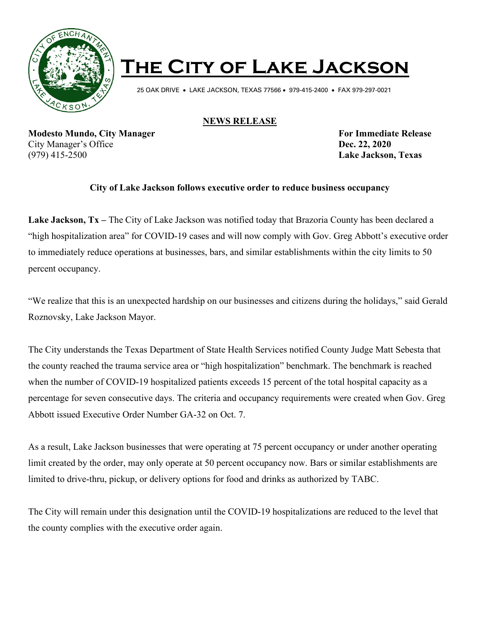

## **The City of Lake Jackson**

25 OAK DRIVE • LAKE JACKSON, TEXAS 77566 • 979-415-2400 • FAX 979-297-0021

## **NEWS RELEASE**

**Modesto Mundo, City Manager For Immediate Release** City Manager's Office **Dec. 22, 2020**  (979) 415-2500 **Lake Jackson, Texas**

## **City of Lake Jackson follows executive order to reduce business occupancy**

**Lake Jackson, Tx –** The City of Lake Jackson was notified today that Brazoria County has been declared a "high hospitalization area" for COVID-19 cases and will now comply with Gov. Greg Abbott's executive order to immediately reduce operations at businesses, bars, and similar establishments within the city limits to 50 percent occupancy.

"We realize that this is an unexpected hardship on our businesses and citizens during the holidays," said Gerald Roznovsky, Lake Jackson Mayor.

The City understands the Texas Department of State Health Services notified County Judge Matt Sebesta that the county reached the trauma service area or "high hospitalization" benchmark. The benchmark is reached when the number of COVID-19 hospitalized patients exceeds 15 percent of the total hospital capacity as a percentage for seven consecutive days. The criteria and occupancy requirements were created when Gov. Greg Abbott issued Executive Order Number GA-32 on Oct. 7.

As a result, Lake Jackson businesses that were operating at 75 percent occupancy or under another operating limit created by the order, may only operate at 50 percent occupancy now. Bars or similar establishments are limited to drive-thru, pickup, or delivery options for food and drinks as authorized by TABC.

The City will remain under this designation until the COVID-19 hospitalizations are reduced to the level that the county complies with the executive order again.